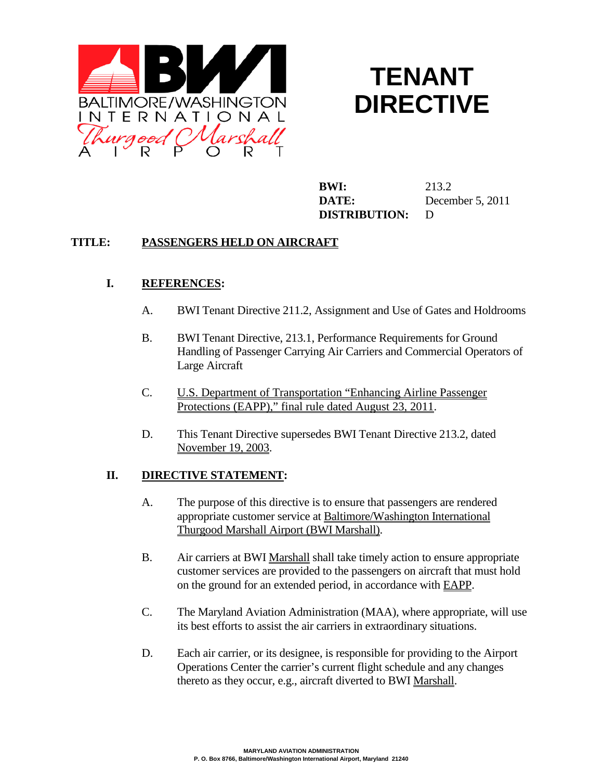

# **TENANT DIRECTIVE**

**BWI:** 213.2 **DATE:** December 5, 2011 **DISTRIBUTION:** D

### **TITLE: PASSENGERS HELD ON AIRCRAFT**

### **I. REFERENCES:**

- A. BWI Tenant Directive 211.2, Assignment and Use of Gates and Holdrooms
- B. BWI Tenant Directive, 213.1, Performance Requirements for Ground Handling of Passenger Carrying Air Carriers and Commercial Operators of Large Aircraft
- C. U.S. Department of Transportation "Enhancing Airline Passenger Protections (EAPP)," final rule dated August 23, 2011.
- D. This Tenant Directive supersedes BWI Tenant Directive 213.2, dated November 19, 2003.

### **II. DIRECTIVE STATEMENT:**

- A. The purpose of this directive is to ensure that passengers are rendered appropriate customer service at Baltimore/Washington International Thurgood Marshall Airport (BWI Marshall).
- B. Air carriers at BWI Marshall shall take timely action to ensure appropriate customer services are provided to the passengers on aircraft that must hold on the ground for an extended period, in accordance with EAPP.
- C. The Maryland Aviation Administration (MAA), where appropriate, will use its best efforts to assist the air carriers in extraordinary situations.
- D. Each air carrier, or its designee, is responsible for providing to the Airport Operations Center the carrier's current flight schedule and any changes thereto as they occur, e.g., aircraft diverted to BWI Marshall.